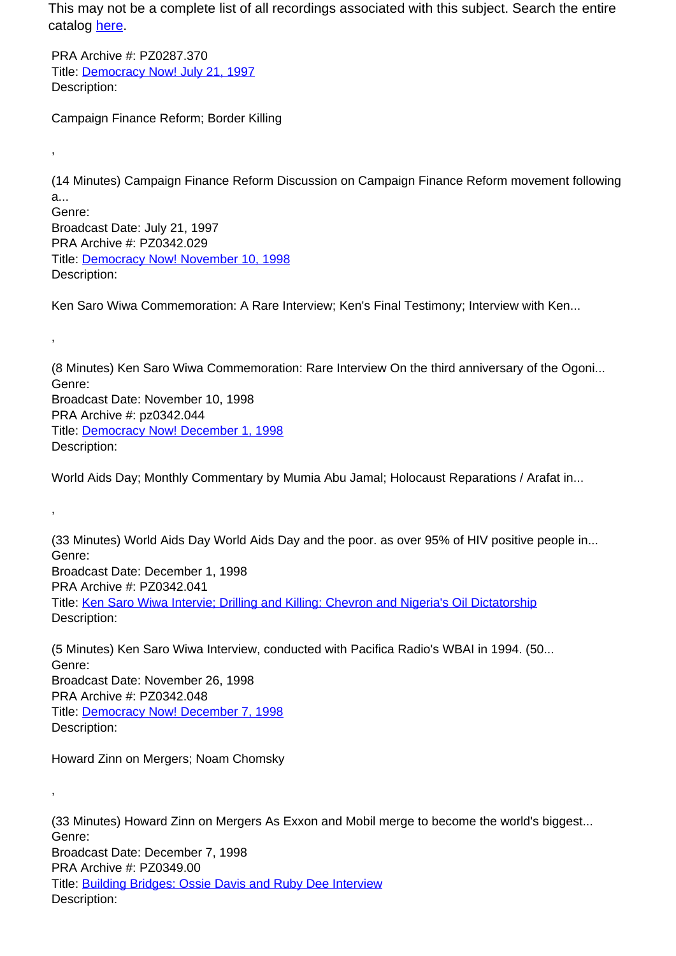PRA Archive #: PZ0287.370 Title: Democracy Now! July 21, 1997 Description:

,

,

,

,

Campaign Finance Reform; Border Killing

(14 Minutes) Campaign Finance Reform Discussion on Campaign Finance Reform movement following a... Genre: Broadcast Date: July 21, 1997 PRA Archive #: PZ0342.029 Title: Democracy Now! November 10, 1998 Description:

Ken Saro Wiwa Commemoration: A Rare Interview; Ken's Final Testimony; Interview with Ken...

(8 Minutes) Ken Saro Wiwa Commemoration: Rare Interview On the third anniversary of the Ogoni... Genre: Broadcast Date: November 10, 1998 PRA Archive #: pz0342.044 Title: Democracy Now! December 1, 1998 Description:

World Aids Day; Monthly Commentary by Mumia Abu Jamal; Holocaust Reparations / Arafat in...

(33 Minutes) World Aids Day World Aids Day and the poor. as over 95% of HIV positive people in... Genre: Broadcast Date: December 1, 1998 PRA Archive #: PZ0342.041 Title: Ken Saro Wiwa Intervie; Drilling and Killing: Chevron and Nigeria's Oil Dictatorship Description:

(5 Minutes) Ken Saro Wiwa Interview, conducted with Pacifica Radio's WBAI in 1994. (50... Genre: Broadcast Date: November 26, 1998 PRA Archive #: PZ0342.048 Title: Democracy Now! December 7, 1998 Description:

Howard Zinn on Mergers; Noam Chomsky

(33 Minutes) Howard Zinn on Mergers As Exxon and Mobil merge to become the world's biggest... Genre: Broadcast Date: December 7, 1998 PRA Archive #: PZ0349.00 Title: Building Bridges: Ossie Davis and Ruby Dee Interview Description: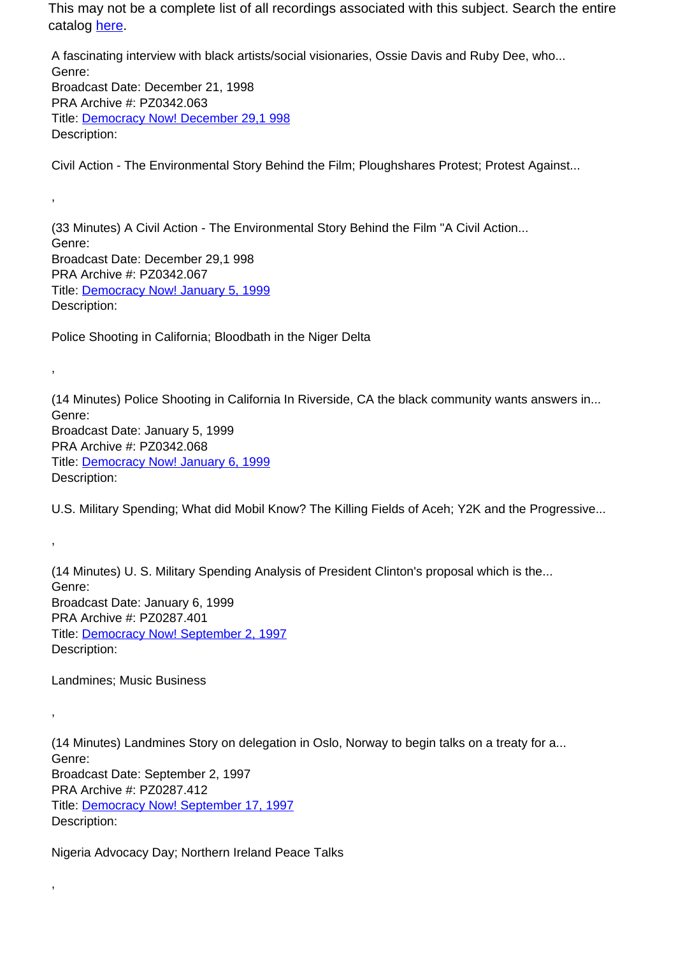A fascinating interview with black artists/social visionaries, Ossie Davis and Ruby Dee, who... Genre: Broadcast Date: December 21, 1998 PRA Archive #: PZ0342.063 Title: Democracy Now! December 29,1 998 Description:

Civil Action - The Environmental Story Behind the Film; Ploughshares Protest; Protest Against...

(33 Minutes) A Civil Action - The Environmental Story Behind the Film "A Civil Action... Genre: Broadcast Date: December 29,1 998 PRA Archive #: PZ0342.067 Title: **Democracy Now! January 5, 1999** Description:

Police Shooting in California; Bloodbath in the Niger Delta

(14 Minutes) Police Shooting in California In Riverside, CA the black community wants answers in... Genre: Broadcast Date: January 5, 1999 PRA Archive #: PZ0342.068 Title: Democracy Now! January 6, 1999 Description:

U.S. Military Spending; What did Mobil Know? The Killing Fields of Aceh; Y2K and the Progressive...

(14 Minutes) U. S. Military Spending Analysis of President Clinton's proposal which is the... Genre: Broadcast Date: January 6, 1999 PRA Archive #: PZ0287.401 Title: Democracy Now! September 2, 1997 Description:

Landmines; Music Business

,

,

,

,

,

(14 Minutes) Landmines Story on delegation in Oslo, Norway to begin talks on a treaty for a... Genre: Broadcast Date: September 2, 1997 PRA Archive #: PZ0287.412 Title: Democracy Now! September 17, 1997 Description:

Nigeria Advocacy Day; Northern Ireland Peace Talks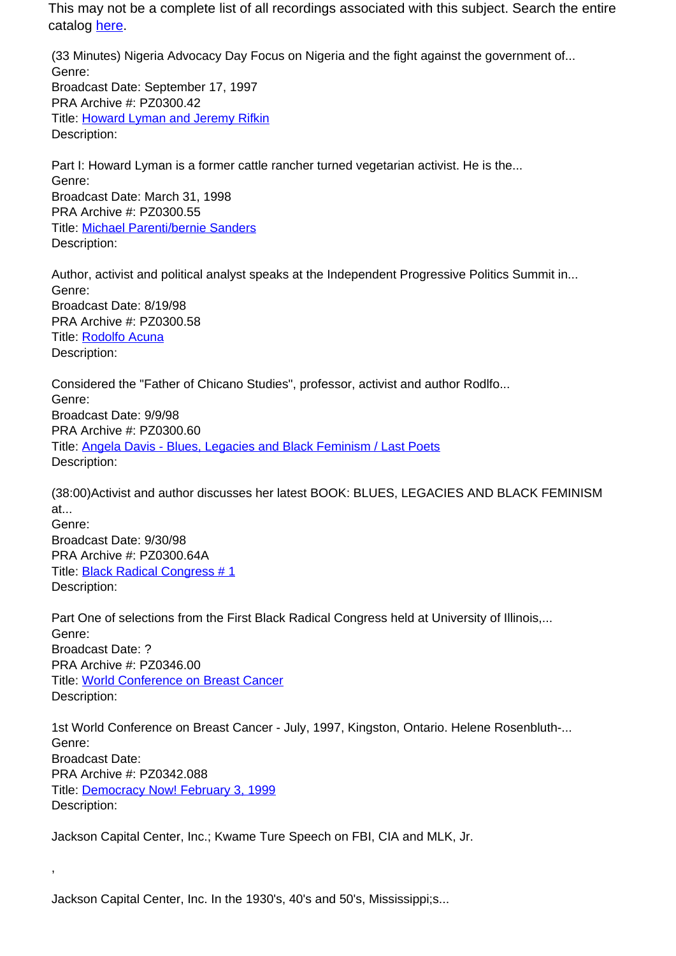(33 Minutes) Nigeria Advocacy Day Focus on Nigeria and the fight against the government of... Genre: Broadcast Date: September 17, 1997 PRA Archive #: PZ0300.42 Title: Howard Lyman and Jeremy Rifkin Description:

Part I: Howard Lyman is a former cattle rancher turned vegetarian activist. He is the... Genre: Broadcast Date: March 31, 1998 PRA Archive #: PZ0300.55 Title: Michael Parenti/bernie Sanders Description:

Author, activist and political analyst speaks at the Independent Progressive Politics Summit in... Genre: Broadcast Date: 8/19/98 PRA Archive #: PZ0300.58 Title: Rodolfo Acuna Description:

Considered the "Father of Chicano Studies", professor, activist and author Rodlfo... Genre: Broadcast Date: 9/9/98 PRA Archive #: PZ0300.60 Title: Angela Davis - Blues, Legacies and Black Feminism / Last Poets Description:

(38:00)Activist and author discusses her latest BOOK: BLUES, LEGACIES AND BLACK FEMINISM at... Genre: Broadcast Date: 9/30/98

PRA Archive #: PZ0300.64A Title: Black Radical Congress # 1 Description:

,

Part One of selections from the First Black Radical Congress held at University of Illinois,... Genre: Broadcast Date: ? PRA Archive #: PZ0346.00 Title: World Conference on Breast Cancer Description:

1st World Conference on Breast Cancer - July, 1997, Kingston, Ontario. Helene Rosenbluth-... Genre: Broadcast Date: PRA Archive #: PZ0342.088 Title: Democracy Now! February 3, 1999 Description:

Jackson Capital Center, Inc.; Kwame Ture Speech on FBI, CIA and MLK, Jr.

Jackson Capital Center, Inc. In the 1930's, 40's and 50's, Mississippi;s...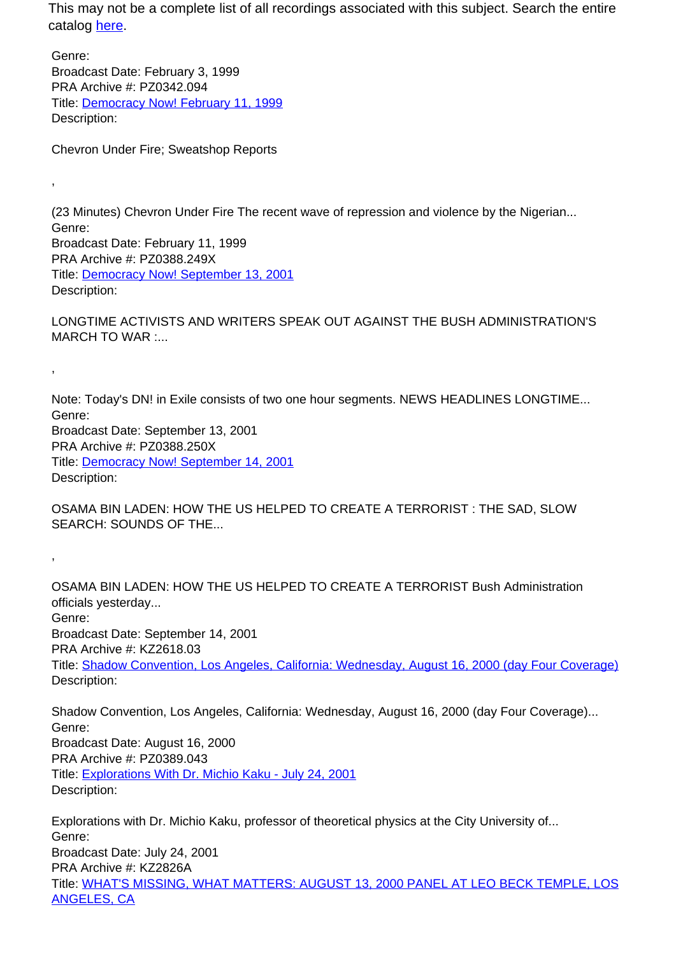Genre: Broadcast Date: February 3, 1999 PRA Archive #: PZ0342.094 Title: Democracy Now! February 11, 1999 Description:

Chevron Under Fire; Sweatshop Reports

,

,

,

(23 Minutes) Chevron Under Fire The recent wave of repression and violence by the Nigerian... Genre: Broadcast Date: February 11, 1999 PRA Archive #: PZ0388.249X Title: Democracy Now! September 13, 2001 Description:

LONGTIME ACTIVISTS AND WRITERS SPEAK OUT AGAINST THE BUSH ADMINISTRATION'S MARCH TO WAR :...

Note: Today's DN! in Exile consists of two one hour segments. NEWS HEADLINES LONGTIME... Genre: Broadcast Date: September 13, 2001 PRA Archive #: PZ0388.250X Title: Democracy Now! September 14, 2001 Description:

OSAMA BIN LADEN: HOW THE US HELPED TO CREATE A TERRORIST : THE SAD, SLOW SEARCH: SOUNDS OF THE...

OSAMA BIN LADEN: HOW THE US HELPED TO CREATE A TERRORIST Bush Administration officials yesterday... Genre: Broadcast Date: September 14, 2001 PRA Archive #: KZ2618.03 Title: Shadow Convention, Los Angeles, California: Wednesday, August 16, 2000 (day Four Coverage) Description:

Shadow Convention, Los Angeles, California: Wednesday, August 16, 2000 (day Four Coverage)... Genre: Broadcast Date: August 16, 2000 PRA Archive #: PZ0389.043 Title: Explorations With Dr. Michio Kaku - July 24, 2001 Description:

Explorations with Dr. Michio Kaku, professor of theoretical physics at the City University of... Genre: Broadcast Date: July 24, 2001 PRA Archive #: KZ2826A Title: WHAT'S MISSING, WHAT MATTERS: AUGUST 13, 2000 PANEL AT LEO BECK TEMPLE, LOS ANGELES, CA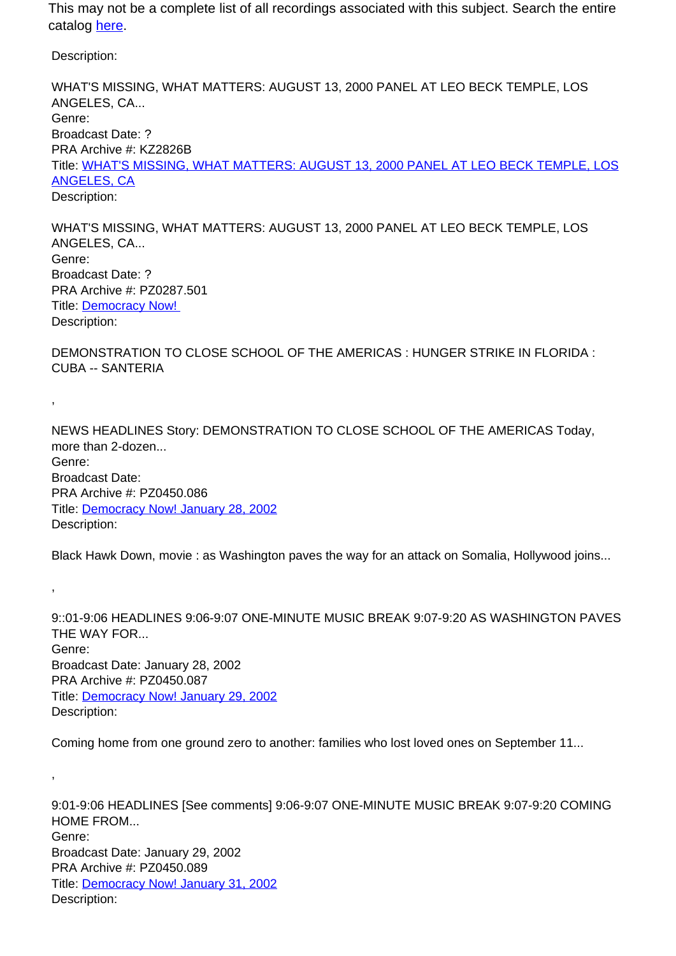Description:

,

,

,

WHAT'S MISSING, WHAT MATTERS: AUGUST 13, 2000 PANEL AT LEO BECK TEMPLE, LOS ANGELES, CA... Genre: Broadcast Date: ? PRA Archive #: KZ2826B Title: WHAT'S MISSING, WHAT MATTERS: AUGUST 13, 2000 PANEL AT LEO BECK TEMPLE, LOS ANGELES, CA Description:

WHAT'S MISSING, WHAT MATTERS: AUGUST 13, 2000 PANEL AT LEO BECK TEMPLE, LOS ANGELES, CA... Genre: Broadcast Date: ? PRA Archive #: PZ0287.501 Title: Democracy Now! Description:

DEMONSTRATION TO CLOSE SCHOOL OF THE AMERICAS : HUNGER STRIKE IN FLORIDA : CUBA -- SANTERIA

NEWS HEADLINES Story: DEMONSTRATION TO CLOSE SCHOOL OF THE AMERICAS Today, more than 2-dozen... Genre: Broadcast Date: PRA Archive #: PZ0450.086 Title: Democracy Now! January 28, 2002 Description:

Black Hawk Down, movie : as Washington paves the way for an attack on Somalia, Hollywood joins...

9::01-9:06 HEADLINES 9:06-9:07 ONE-MINUTE MUSIC BREAK 9:07-9:20 AS WASHINGTON PAVES THE WAY FOR... Genre: Broadcast Date: January 28, 2002 PRA Archive #: PZ0450.087 Title: Democracy Now! January 29, 2002 Description:

Coming home from one ground zero to another: families who lost loved ones on September 11...

9:01-9:06 HEADLINES [See comments] 9:06-9:07 ONE-MINUTE MUSIC BREAK 9:07-9:20 COMING HOME FROM... Genre: Broadcast Date: January 29, 2002 PRA Archive #: PZ0450.089 Title: Democracy Now! January 31, 2002 Description: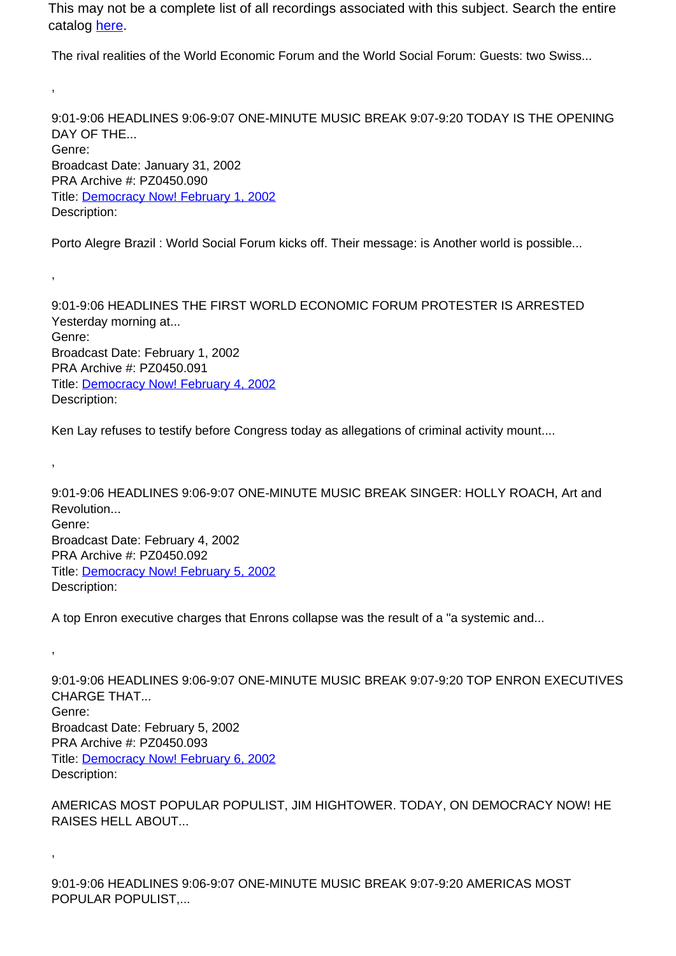The rival realities of the World Economic Forum and the World Social Forum: Guests: two Swiss...

,

,

,

,

,

9:01-9:06 HEADLINES 9:06-9:07 ONE-MINUTE MUSIC BREAK 9:07-9:20 TODAY IS THE OPENING DAY OF THE. Genre: Broadcast Date: January 31, 2002 PRA Archive #: PZ0450.090 Title: Democracy Now! February 1, 2002 Description:

Porto Alegre Brazil : World Social Forum kicks off. Their message: is Another world is possible...

9:01-9:06 HEADLINES THE FIRST WORLD ECONOMIC FORUM PROTESTER IS ARRESTED Yesterday morning at... Genre: Broadcast Date: February 1, 2002 PRA Archive #: PZ0450.091 Title: Democracy Now! February 4, 2002 Description:

Ken Lay refuses to testify before Congress today as allegations of criminal activity mount....

9:01-9:06 HEADLINES 9:06-9:07 ONE-MINUTE MUSIC BREAK SINGER: HOLLY ROACH, Art and Revolution... Genre: Broadcast Date: February 4, 2002 PRA Archive #: PZ0450.092 Title: Democracy Now! February 5, 2002 Description:

A top Enron executive charges that Enrons collapse was the result of a "a systemic and...

9:01-9:06 HEADLINES 9:06-9:07 ONE-MINUTE MUSIC BREAK 9:07-9:20 TOP ENRON EXECUTIVES CHARGE THAT... Genre: Broadcast Date: February 5, 2002 PRA Archive #: PZ0450.093 Title: Democracy Now! February 6, 2002 Description:

AMERICAS MOST POPULAR POPULIST, JIM HIGHTOWER. TODAY, ON DEMOCRACY NOW! HE RAISES HELL ABOUT...

9:01-9:06 HEADLINES 9:06-9:07 ONE-MINUTE MUSIC BREAK 9:07-9:20 AMERICAS MOST POPULAR POPULIST,...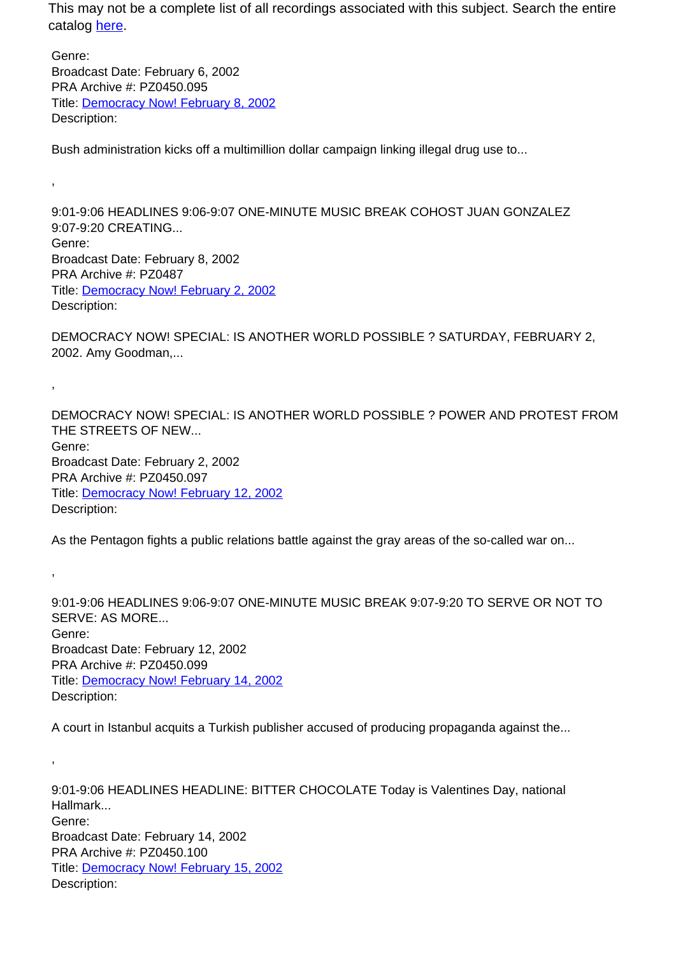Genre: Broadcast Date: February 6, 2002 PRA Archive #: PZ0450.095 Title: Democracy Now! February 8, 2002 Description:

,

,

,

,

Bush administration kicks off a multimillion dollar campaign linking illegal drug use to...

9:01-9:06 HEADLINES 9:06-9:07 ONE-MINUTE MUSIC BREAK COHOST JUAN GONZALEZ 9:07-9:20 CREATING... Genre: Broadcast Date: February 8, 2002 PRA Archive #: PZ0487 Title: Democracy Now! February 2, 2002 Description:

DEMOCRACY NOW! SPECIAL: IS ANOTHER WORLD POSSIBLE ? SATURDAY, FEBRUARY 2, 2002. Amy Goodman,...

DEMOCRACY NOW! SPECIAL: IS ANOTHER WORLD POSSIBLE ? POWER AND PROTEST FROM THE STREETS OF NEW. Genre: Broadcast Date: February 2, 2002 PRA Archive #: PZ0450.097 Title: Democracy Now! February 12, 2002 Description:

As the Pentagon fights a public relations battle against the gray areas of the so-called war on...

9:01-9:06 HEADLINES 9:06-9:07 ONE-MINUTE MUSIC BREAK 9:07-9:20 TO SERVE OR NOT TO SERVE: AS MORE... Genre: Broadcast Date: February 12, 2002 PRA Archive #: PZ0450.099 Title: Democracy Now! February 14, 2002 Description:

A court in Istanbul acquits a Turkish publisher accused of producing propaganda against the...

9:01-9:06 HEADLINES HEADLINE: BITTER CHOCOLATE Today is Valentines Day, national Hallmark... Genre: Broadcast Date: February 14, 2002 PRA Archive #: PZ0450.100 Title: Democracy Now! February 15, 2002 Description: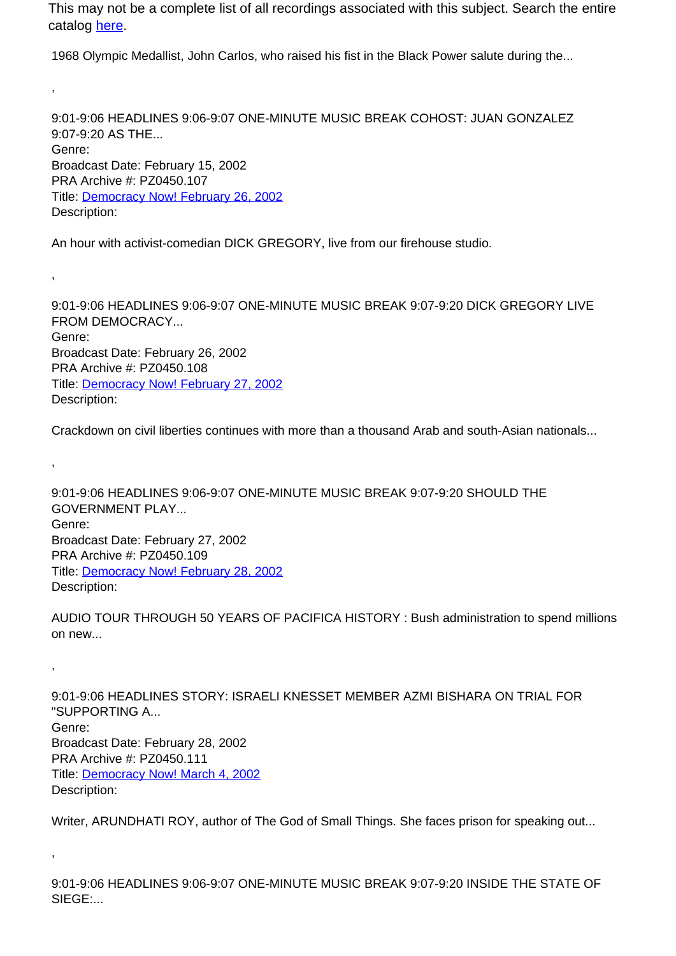1968 Olympic Medallist, John Carlos, who raised his fist in the Black Power salute during the...

9:01-9:06 HEADLINES 9:06-9:07 ONE-MINUTE MUSIC BREAK COHOST: JUAN GONZALEZ 9:07-9:20 AS THE... Genre: Broadcast Date: February 15, 2002 PRA Archive #: PZ0450.107 Title: Democracy Now! February 26, 2002 Description:

An hour with activist-comedian DICK GREGORY, live from our firehouse studio.

,

,

,

,

,

9:01-9:06 HEADLINES 9:06-9:07 ONE-MINUTE MUSIC BREAK 9:07-9:20 DICK GREGORY LIVE FROM DEMOCRACY... Genre: Broadcast Date: February 26, 2002 PRA Archive #: PZ0450.108 Title: Democracy Now! February 27, 2002 Description:

Crackdown on civil liberties continues with more than a thousand Arab and south-Asian nationals...

9:01-9:06 HEADLINES 9:06-9:07 ONE-MINUTE MUSIC BREAK 9:07-9:20 SHOULD THE GOVERNMENT PLAY... Genre: Broadcast Date: February 27, 2002 PRA Archive #: PZ0450.109 Title: Democracy Now! February 28, 2002 Description:

AUDIO TOUR THROUGH 50 YEARS OF PACIFICA HISTORY : Bush administration to spend millions on new...

9:01-9:06 HEADLINES STORY: ISRAELI KNESSET MEMBER AZMI BISHARA ON TRIAL FOR "SUPPORTING A... Genre: Broadcast Date: February 28, 2002 PRA Archive #: PZ0450.111 Title: Democracy Now! March 4, 2002 Description:

Writer, ARUNDHATI ROY, author of The God of Small Things. She faces prison for speaking out...

9:01-9:06 HEADLINES 9:06-9:07 ONE-MINUTE MUSIC BREAK 9:07-9:20 INSIDE THE STATE OF SIEGE:...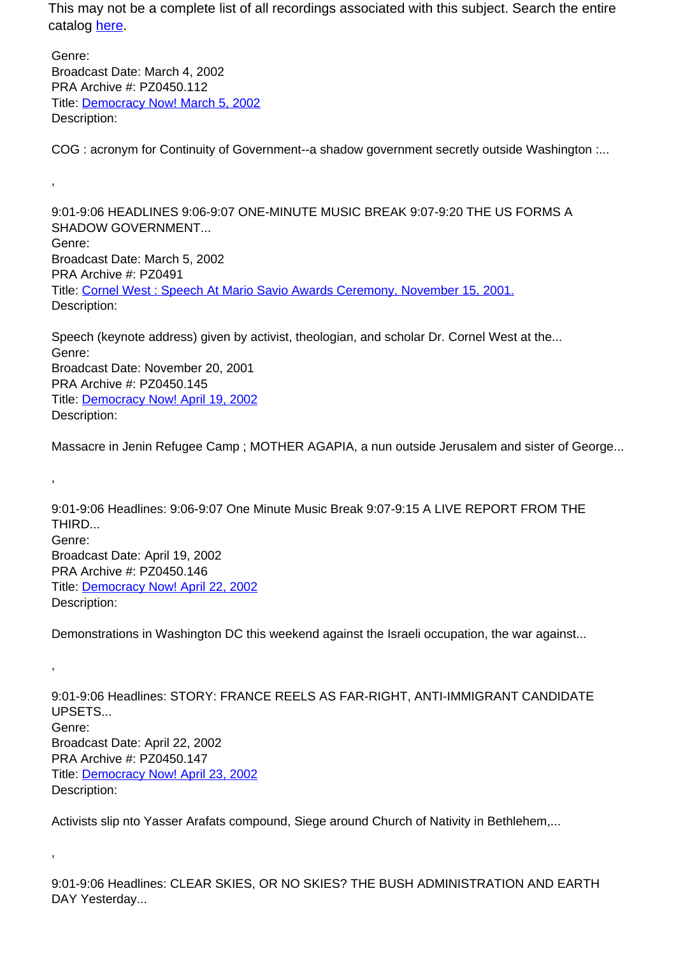Genre: Broadcast Date: March 4, 2002 PRA Archive #: PZ0450.112 Title: Democracy Now! March 5, 2002 Description:

,

,

,

,

COG : acronym for Continuity of Government--a shadow government secretly outside Washington :...

9:01-9:06 HEADLINES 9:06-9:07 ONE-MINUTE MUSIC BREAK 9:07-9:20 THE US FORMS A SHADOW GOVERNMENT... Genre: Broadcast Date: March 5, 2002 PRA Archive #: PZ0491 Title: Cornel West : Speech At Mario Savio Awards Ceremony, November 15, 2001. Description:

Speech (keynote address) given by activist, theologian, and scholar Dr. Cornel West at the... Genre: Broadcast Date: November 20, 2001 PRA Archive #: PZ0450.145 Title: Democracy Now! April 19, 2002 Description:

Massacre in Jenin Refugee Camp ; MOTHER AGAPIA, a nun outside Jerusalem and sister of George...

9:01-9:06 Headlines: 9:06-9:07 One Minute Music Break 9:07-9:15 A LIVE REPORT FROM THE THIRD... Genre: Broadcast Date: April 19, 2002 PRA Archive #: PZ0450.146 Title: Democracy Now! April 22, 2002 Description:

Demonstrations in Washington DC this weekend against the Israeli occupation, the war against...

9:01-9:06 Headlines: STORY: FRANCE REELS AS FAR-RIGHT, ANTI-IMMIGRANT CANDIDATE UPSETS... Genre: Broadcast Date: April 22, 2002 PRA Archive #: PZ0450.147 Title: Democracy Now! April 23, 2002 Description:

Activists slip nto Yasser Arafats compound, Siege around Church of Nativity in Bethlehem,...

9:01-9:06 Headlines: CLEAR SKIES, OR NO SKIES? THE BUSH ADMINISTRATION AND EARTH DAY Yesterday...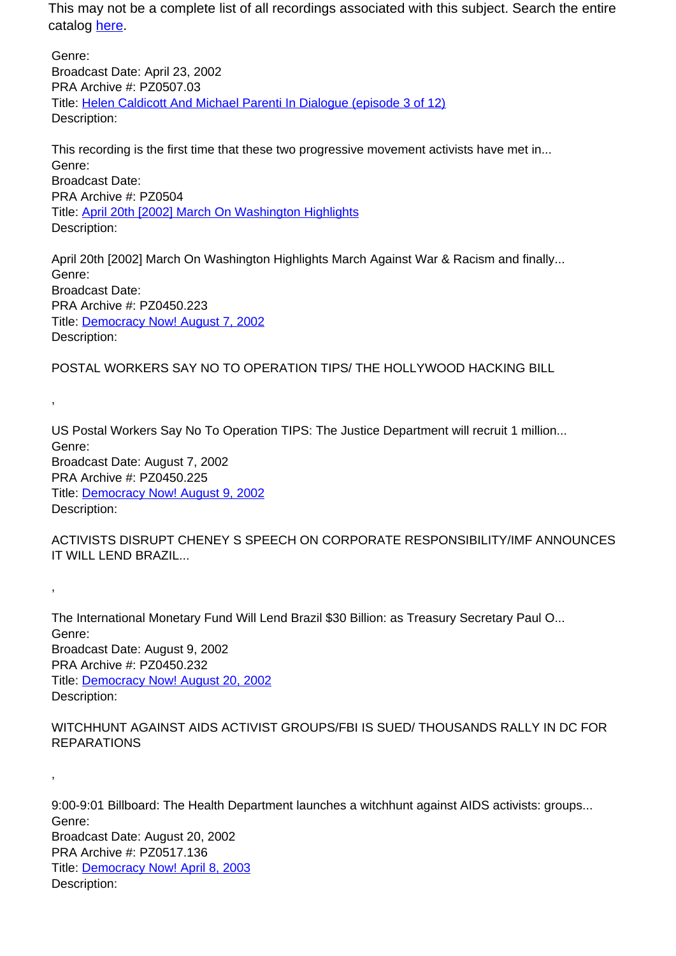Genre: Broadcast Date: April 23, 2002 PRA Archive #: PZ0507.03 Title: Helen Caldicott And Michael Parenti In Dialogue (episode 3 of 12) Description:

This recording is the first time that these two progressive movement activists have met in... Genre: Broadcast Date: PRA Archive #: PZ0504 Title: April 20th [2002] March On Washington Highlights Description:

April 20th [2002] March On Washington Highlights March Against War & Racism and finally... Genre: Broadcast Date: PRA Archive #: PZ0450.223 Title: Democracy Now! August 7, 2002 Description:

POSTAL WORKERS SAY NO TO OPERATION TIPS/ THE HOLLYWOOD HACKING BILL

,

,

,

US Postal Workers Say No To Operation TIPS: The Justice Department will recruit 1 million... Genre: Broadcast Date: August 7, 2002 PRA Archive #: PZ0450.225 Title: Democracy Now! August 9, 2002 Description:

ACTIVISTS DISRUPT CHENEY S SPEECH ON CORPORATE RESPONSIBILITY/IMF ANNOUNCES IT WILL LEND BRAZIL...

The International Monetary Fund Will Lend Brazil \$30 Billion: as Treasury Secretary Paul O... Genre: Broadcast Date: August 9, 2002 PRA Archive #: PZ0450.232 Title: Democracy Now! August 20, 2002 Description:

WITCHHUNT AGAINST AIDS ACTIVIST GROUPS/FBI IS SUED/ THOUSANDS RALLY IN DC FOR REPARATIONS

9:00-9:01 Billboard: The Health Department launches a witchhunt against AIDS activists: groups... Genre: Broadcast Date: August 20, 2002 PRA Archive #: PZ0517.136 Title: Democracy Now! April 8, 2003 Description: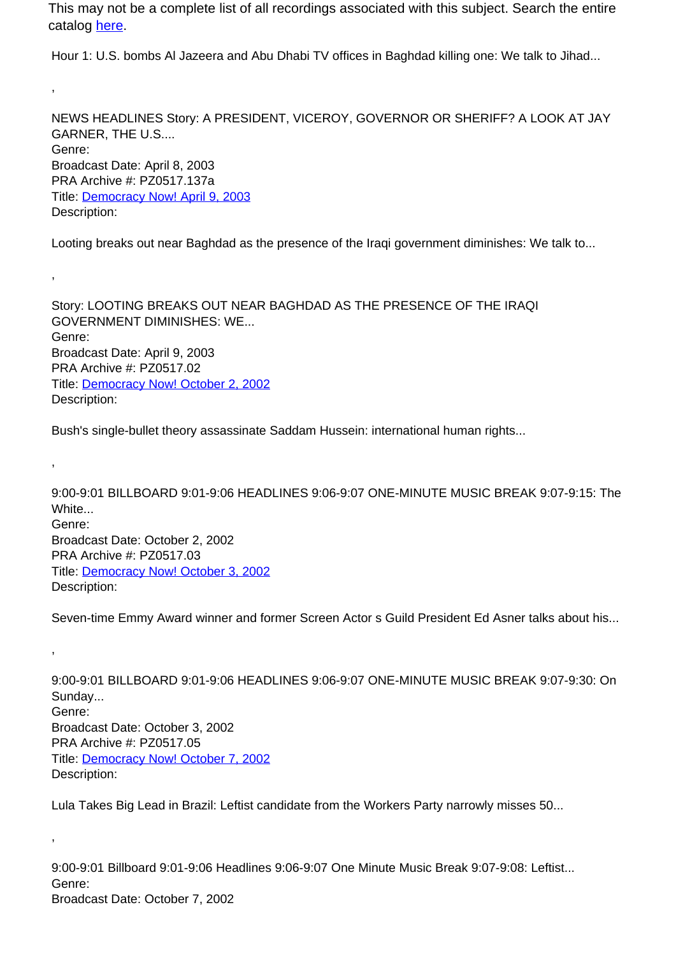Hour 1: U.S. bombs Al Jazeera and Abu Dhabi TV offices in Baghdad killing one: We talk to Jihad...

,

,

,

,

,

NEWS HEADLINES Story: A PRESIDENT, VICEROY, GOVERNOR OR SHERIFF? A LOOK AT JAY GARNER, THE U.S.... Genre: Broadcast Date: April 8, 2003 PRA Archive #: PZ0517.137a Title: Democracy Now! April 9, 2003 Description:

Looting breaks out near Baghdad as the presence of the Iraqi government diminishes: We talk to...

Story: LOOTING BREAKS OUT NEAR BAGHDAD AS THE PRESENCE OF THE IRAQI GOVERNMENT DIMINISHES: WE... Genre: Broadcast Date: April 9, 2003 PRA Archive #: PZ0517.02 Title: Democracy Now! October 2, 2002 Description:

Bush's single-bullet theory assassinate Saddam Hussein: international human rights...

9:00-9:01 BILLBOARD 9:01-9:06 HEADLINES 9:06-9:07 ONE-MINUTE MUSIC BREAK 9:07-9:15: The White... Genre: Broadcast Date: October 2, 2002 PRA Archive #: PZ0517.03 Title: Democracy Now! October 3, 2002 Description:

Seven-time Emmy Award winner and former Screen Actor s Guild President Ed Asner talks about his...

9:00-9:01 BILLBOARD 9:01-9:06 HEADLINES 9:06-9:07 ONE-MINUTE MUSIC BREAK 9:07-9:30: On Sunday... Genre: Broadcast Date: October 3, 2002 PRA Archive #: PZ0517.05 Title: Democracy Now! October 7, 2002 Description:

Lula Takes Big Lead in Brazil: Leftist candidate from the Workers Party narrowly misses 50...

9:00-9:01 Billboard 9:01-9:06 Headlines 9:06-9:07 One Minute Music Break 9:07-9:08: Leftist... Genre: Broadcast Date: October 7, 2002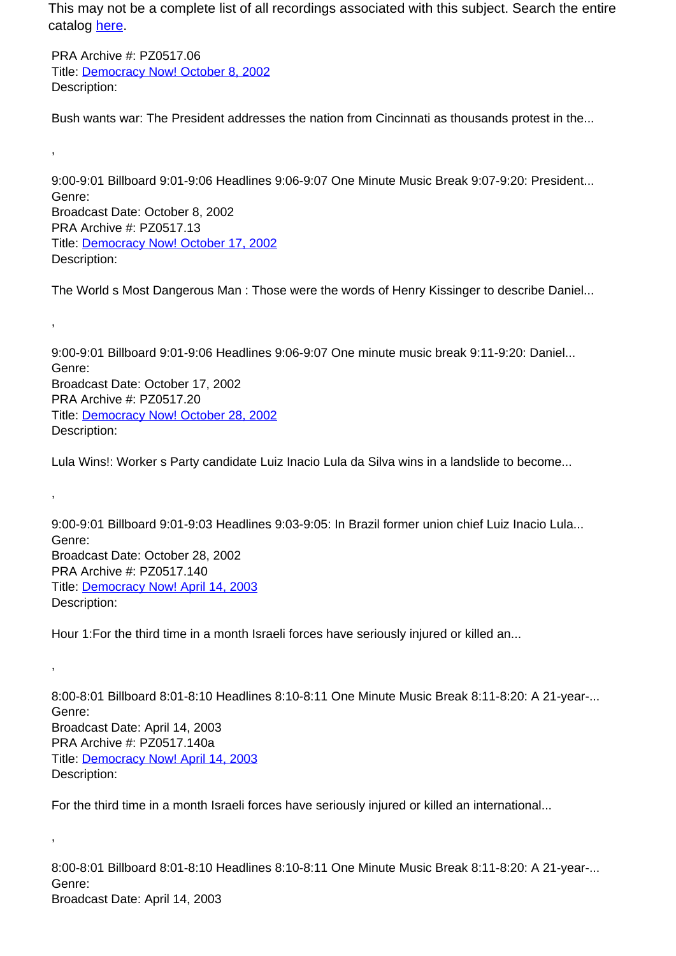PRA Archive #: PZ0517.06 Title: Democracy Now! October 8, 2002 Description:

,

,

,

,

,

Bush wants war: The President addresses the nation from Cincinnati as thousands protest in the...

9:00-9:01 Billboard 9:01-9:06 Headlines 9:06-9:07 One Minute Music Break 9:07-9:20: President... Genre: Broadcast Date: October 8, 2002 PRA Archive #: PZ0517.13 Title: Democracy Now! October 17, 2002 Description:

The World s Most Dangerous Man : Those were the words of Henry Kissinger to describe Daniel...

9:00-9:01 Billboard 9:01-9:06 Headlines 9:06-9:07 One minute music break 9:11-9:20: Daniel... Genre: Broadcast Date: October 17, 2002 PRA Archive #: PZ0517.20 Title: Democracy Now! October 28, 2002 Description:

Lula Wins!: Worker s Party candidate Luiz Inacio Lula da Silva wins in a landslide to become...

9:00-9:01 Billboard 9:01-9:03 Headlines 9:03-9:05: In Brazil former union chief Luiz Inacio Lula... Genre: Broadcast Date: October 28, 2002 PRA Archive #: PZ0517.140 Title: Democracy Now! April 14, 2003 Description:

Hour 1:For the third time in a month Israeli forces have seriously injured or killed an...

8:00-8:01 Billboard 8:01-8:10 Headlines 8:10-8:11 One Minute Music Break 8:11-8:20: A 21-year-... Genre: Broadcast Date: April 14, 2003 PRA Archive #: PZ0517.140a Title: Democracy Now! April 14, 2003 Description:

For the third time in a month Israeli forces have seriously injured or killed an international...

8:00-8:01 Billboard 8:01-8:10 Headlines 8:10-8:11 One Minute Music Break 8:11-8:20: A 21-year-... Genre: Broadcast Date: April 14, 2003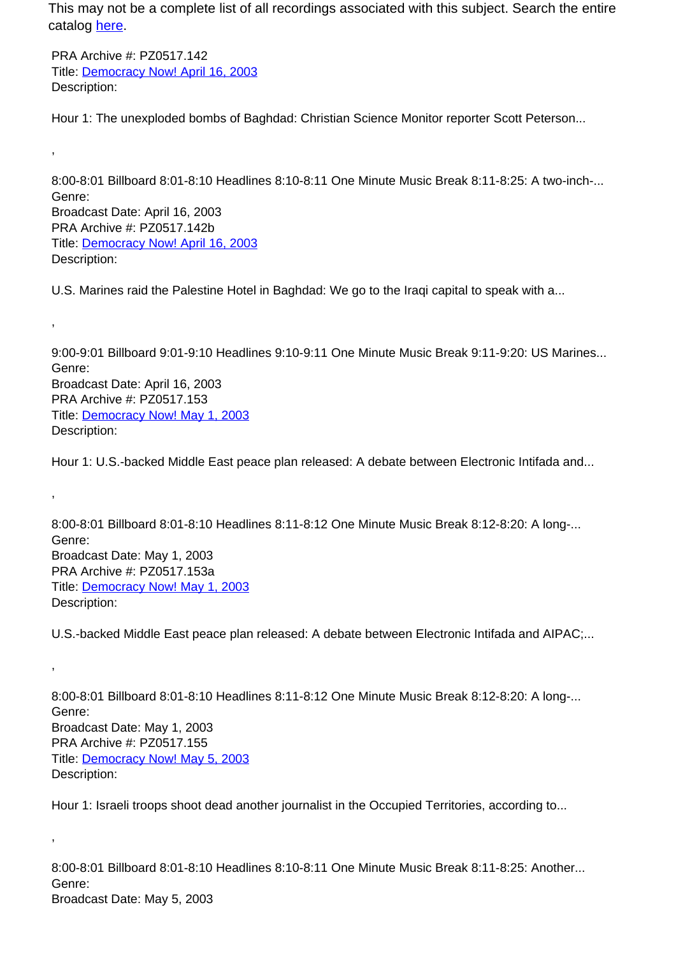PRA Archive #: PZ0517.142 Title: Democracy Now! April 16, 2003 Description:

,

,

,

,

,

Hour 1: The unexploded bombs of Baghdad: Christian Science Monitor reporter Scott Peterson...

8:00-8:01 Billboard 8:01-8:10 Headlines 8:10-8:11 One Minute Music Break 8:11-8:25: A two-inch-... Genre: Broadcast Date: April 16, 2003 PRA Archive #: PZ0517.142b Title: Democracy Now! April 16, 2003 Description:

U.S. Marines raid the Palestine Hotel in Baghdad: We go to the Iraqi capital to speak with a...

9:00-9:01 Billboard 9:01-9:10 Headlines 9:10-9:11 One Minute Music Break 9:11-9:20: US Marines... Genre: Broadcast Date: April 16, 2003 PRA Archive #: PZ0517.153 Title: Democracy Now! May 1, 2003 Description:

Hour 1: U.S.-backed Middle East peace plan released: A debate between Electronic Intifada and...

8:00-8:01 Billboard 8:01-8:10 Headlines 8:11-8:12 One Minute Music Break 8:12-8:20: A long-... Genre: Broadcast Date: May 1, 2003 PRA Archive #: PZ0517.153a Title: **Democracy Now! May 1, 2003** Description:

U.S.-backed Middle East peace plan released: A debate between Electronic Intifada and AIPAC;...

8:00-8:01 Billboard 8:01-8:10 Headlines 8:11-8:12 One Minute Music Break 8:12-8:20: A long-... Genre: Broadcast Date: May 1, 2003 PRA Archive #: PZ0517.155 Title: Democracy Now! May 5, 2003 Description:

Hour 1: Israeli troops shoot dead another journalist in the Occupied Territories, according to...

8:00-8:01 Billboard 8:01-8:10 Headlines 8:10-8:11 One Minute Music Break 8:11-8:25: Another... Genre: Broadcast Date: May 5, 2003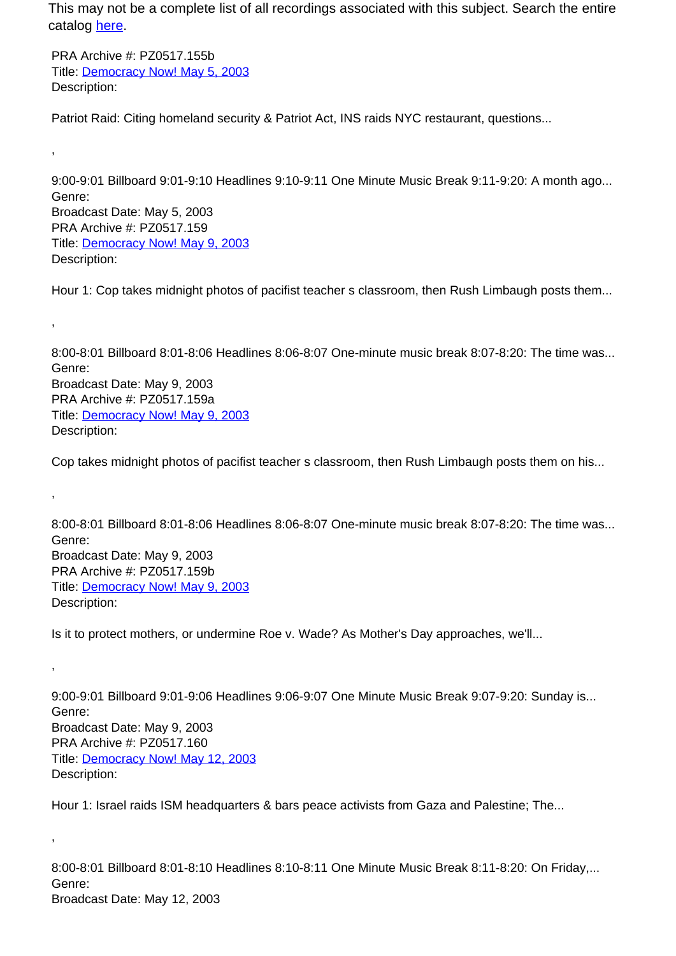PRA Archive #: PZ0517.155b Title: Democracy Now! May 5, 2003 Description:

,

,

,

,

,

Patriot Raid: Citing homeland security & Patriot Act, INS raids NYC restaurant, questions...

9:00-9:01 Billboard 9:01-9:10 Headlines 9:10-9:11 One Minute Music Break 9:11-9:20: A month ago... Genre: Broadcast Date: May 5, 2003 PRA Archive #: PZ0517.159 Title: Democracy Now! May 9, 2003 Description:

Hour 1: Cop takes midnight photos of pacifist teacher s classroom, then Rush Limbaugh posts them...

8:00-8:01 Billboard 8:01-8:06 Headlines 8:06-8:07 One-minute music break 8:07-8:20: The time was... Genre: Broadcast Date: May 9, 2003 PRA Archive #: PZ0517.159a Title: Democracy Now! May 9, 2003 Description:

Cop takes midnight photos of pacifist teacher s classroom, then Rush Limbaugh posts them on his...

8:00-8:01 Billboard 8:01-8:06 Headlines 8:06-8:07 One-minute music break 8:07-8:20: The time was... Genre: Broadcast Date: May 9, 2003 PRA Archive #: PZ0517.159b Title: **Democracy Now! May 9, 2003** Description:

Is it to protect mothers, or undermine Roe v. Wade? As Mother's Day approaches, we'll...

9:00-9:01 Billboard 9:01-9:06 Headlines 9:06-9:07 One Minute Music Break 9:07-9:20: Sunday is... Genre: Broadcast Date: May 9, 2003 PRA Archive #: PZ0517.160 Title: Democracy Now! May 12, 2003 Description:

Hour 1: Israel raids ISM headquarters & bars peace activists from Gaza and Palestine; The...

8:00-8:01 Billboard 8:01-8:10 Headlines 8:10-8:11 One Minute Music Break 8:11-8:20: On Friday,... Genre: Broadcast Date: May 12, 2003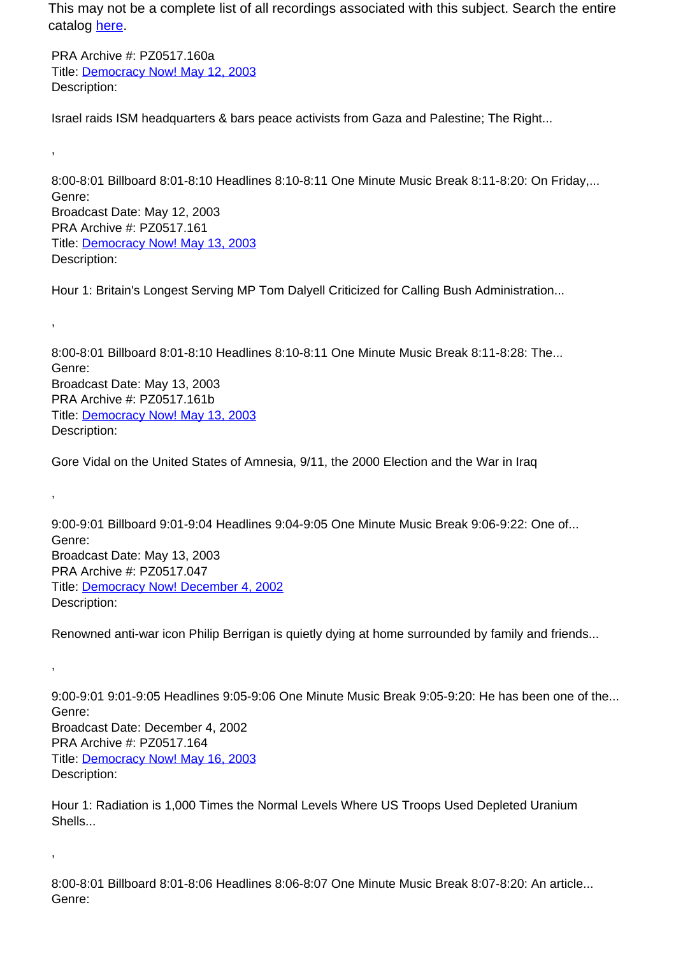PRA Archive #: PZ0517.160a Title: Democracy Now! May 12, 2003 Description:

,

,

,

,

,

Israel raids ISM headquarters & bars peace activists from Gaza and Palestine; The Right...

8:00-8:01 Billboard 8:01-8:10 Headlines 8:10-8:11 One Minute Music Break 8:11-8:20: On Friday,... Genre: Broadcast Date: May 12, 2003 PRA Archive #: PZ0517.161 Title: Democracy Now! May 13, 2003 Description:

Hour 1: Britain's Longest Serving MP Tom Dalyell Criticized for Calling Bush Administration...

8:00-8:01 Billboard 8:01-8:10 Headlines 8:10-8:11 One Minute Music Break 8:11-8:28: The... Genre: Broadcast Date: May 13, 2003 PRA Archive #: PZ0517.161b Title: Democracy Now! May 13, 2003 Description:

Gore Vidal on the United States of Amnesia, 9/11, the 2000 Election and the War in Iraq

9:00-9:01 Billboard 9:01-9:04 Headlines 9:04-9:05 One Minute Music Break 9:06-9:22: One of... Genre: Broadcast Date: May 13, 2003 PRA Archive #: PZ0517.047 Title: Democracy Now! December 4, 2002 Description:

Renowned anti-war icon Philip Berrigan is quietly dying at home surrounded by family and friends...

9:00-9:01 9:01-9:05 Headlines 9:05-9:06 One Minute Music Break 9:05-9:20: He has been one of the... Genre: Broadcast Date: December 4, 2002 PRA Archive #: PZ0517.164 Title: Democracy Now! May 16, 2003 Description:

Hour 1: Radiation is 1,000 Times the Normal Levels Where US Troops Used Depleted Uranium Shells...

8:00-8:01 Billboard 8:01-8:06 Headlines 8:06-8:07 One Minute Music Break 8:07-8:20: An article... Genre: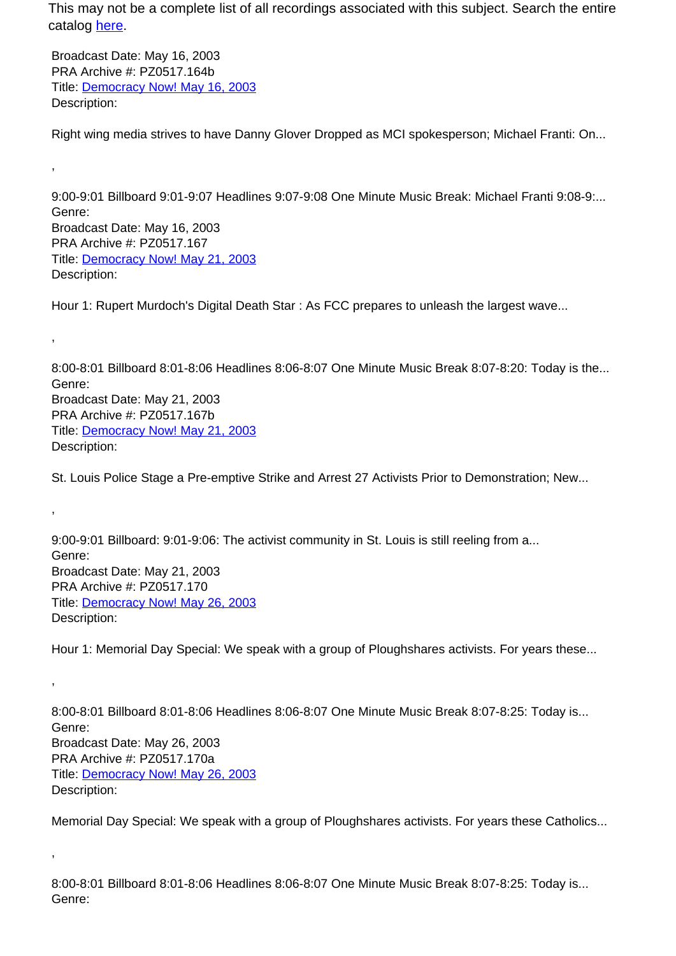Broadcast Date: May 16, 2003 PRA Archive #: PZ0517.164b Title: Democracy Now! May 16, 2003 Description:

,

,

,

,

,

Right wing media strives to have Danny Glover Dropped as MCI spokesperson; Michael Franti: On...

9:00-9:01 Billboard 9:01-9:07 Headlines 9:07-9:08 One Minute Music Break: Michael Franti 9:08-9:... Genre: Broadcast Date: May 16, 2003 PRA Archive #: PZ0517.167 Title: Democracy Now! May 21, 2003 Description:

Hour 1: Rupert Murdoch's Digital Death Star : As FCC prepares to unleash the largest wave...

8:00-8:01 Billboard 8:01-8:06 Headlines 8:06-8:07 One Minute Music Break 8:07-8:20: Today is the... Genre: Broadcast Date: May 21, 2003 PRA Archive #: PZ0517.167b Title: Democracy Now! May 21, 2003 Description:

St. Louis Police Stage a Pre-emptive Strike and Arrest 27 Activists Prior to Demonstration; New...

9:00-9:01 Billboard: 9:01-9:06: The activist community in St. Louis is still reeling from a... Genre: Broadcast Date: May 21, 2003 PRA Archive #: PZ0517.170 Title: Democracy Now! May 26, 2003 Description:

Hour 1: Memorial Day Special: We speak with a group of Ploughshares activists. For years these...

8:00-8:01 Billboard 8:01-8:06 Headlines 8:06-8:07 One Minute Music Break 8:07-8:25: Today is... Genre: Broadcast Date: May 26, 2003 PRA Archive #: PZ0517.170a Title: Democracy Now! May 26, 2003 Description:

Memorial Day Special: We speak with a group of Ploughshares activists. For years these Catholics...

8:00-8:01 Billboard 8:01-8:06 Headlines 8:06-8:07 One Minute Music Break 8:07-8:25: Today is... Genre: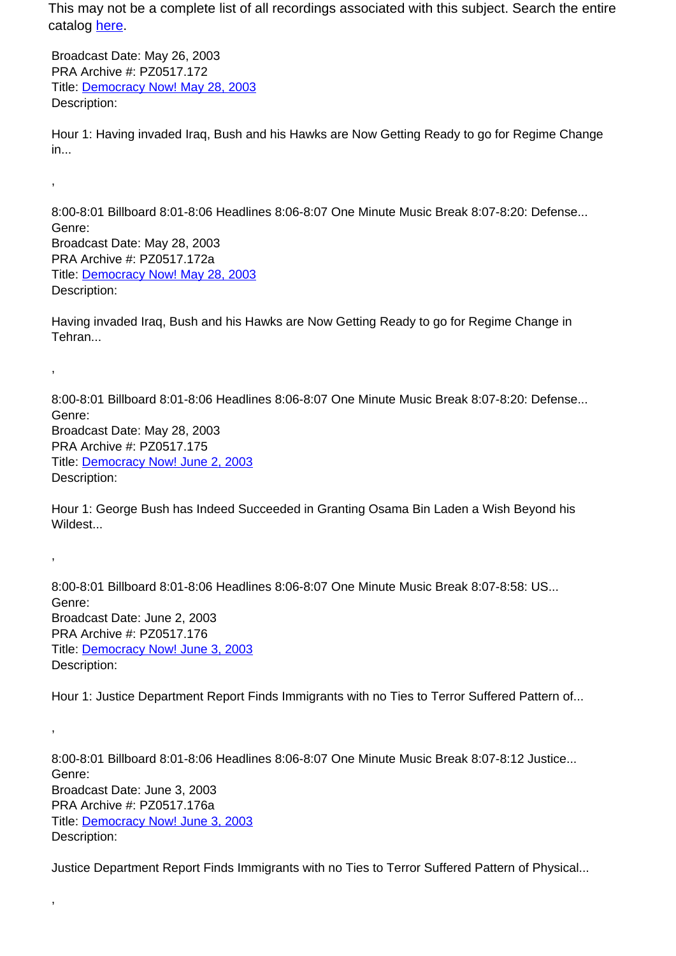Broadcast Date: May 26, 2003 PRA Archive #: PZ0517.172 Title: Democracy Now! May 28, 2003 Description:

,

,

,

,

,

Hour 1: Having invaded Iraq, Bush and his Hawks are Now Getting Ready to go for Regime Change in...

8:00-8:01 Billboard 8:01-8:06 Headlines 8:06-8:07 One Minute Music Break 8:07-8:20: Defense... Genre: Broadcast Date: May 28, 2003 PRA Archive #: PZ0517.172a Title: Democracy Now! May 28, 2003 Description:

Having invaded Iraq, Bush and his Hawks are Now Getting Ready to go for Regime Change in Tehran...

8:00-8:01 Billboard 8:01-8:06 Headlines 8:06-8:07 One Minute Music Break 8:07-8:20: Defense... Genre: Broadcast Date: May 28, 2003 PRA Archive #: PZ0517.175 Title: Democracy Now! June 2, 2003 Description:

Hour 1: George Bush has Indeed Succeeded in Granting Osama Bin Laden a Wish Beyond his Wildest...

8:00-8:01 Billboard 8:01-8:06 Headlines 8:06-8:07 One Minute Music Break 8:07-8:58: US... Genre: Broadcast Date: June 2, 2003 PRA Archive #: PZ0517.176 Title: Democracy Now! June 3, 2003 Description:

Hour 1: Justice Department Report Finds Immigrants with no Ties to Terror Suffered Pattern of...

8:00-8:01 Billboard 8:01-8:06 Headlines 8:06-8:07 One Minute Music Break 8:07-8:12 Justice... Genre: Broadcast Date: June 3, 2003 PRA Archive #: PZ0517.176a Title: Democracy Now! June 3, 2003 Description:

Justice Department Report Finds Immigrants with no Ties to Terror Suffered Pattern of Physical...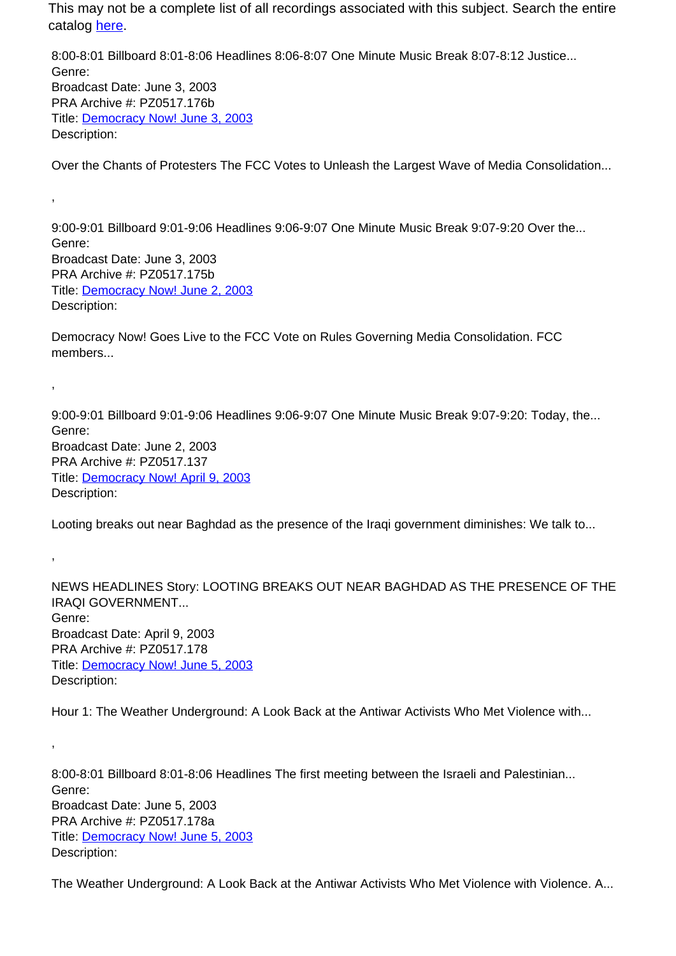8:00-8:01 Billboard 8:01-8:06 Headlines 8:06-8:07 One Minute Music Break 8:07-8:12 Justice... Genre: Broadcast Date: June 3, 2003 PRA Archive #: PZ0517.176b Title: Democracy Now! June 3, 2003 Description:

Over the Chants of Protesters The FCC Votes to Unleash the Largest Wave of Media Consolidation...

9:00-9:01 Billboard 9:01-9:06 Headlines 9:06-9:07 One Minute Music Break 9:07-9:20 Over the... Genre: Broadcast Date: June 3, 2003 PRA Archive #: PZ0517.175b Title: Democracy Now! June 2, 2003 Description:

,

,

,

,

Democracy Now! Goes Live to the FCC Vote on Rules Governing Media Consolidation. FCC members...

9:00-9:01 Billboard 9:01-9:06 Headlines 9:06-9:07 One Minute Music Break 9:07-9:20: Today, the... Genre: Broadcast Date: June 2, 2003 PRA Archive #: PZ0517.137 Title: Democracy Now! April 9, 2003 Description:

Looting breaks out near Baghdad as the presence of the Iraqi government diminishes: We talk to...

NEWS HEADLINES Story: LOOTING BREAKS OUT NEAR BAGHDAD AS THE PRESENCE OF THE IRAQI GOVERNMENT... Genre: Broadcast Date: April 9, 2003 PRA Archive #: PZ0517.178 Title: Democracy Now! June 5, 2003 Description:

Hour 1: The Weather Underground: A Look Back at the Antiwar Activists Who Met Violence with...

8:00-8:01 Billboard 8:01-8:06 Headlines The first meeting between the Israeli and Palestinian... Genre: Broadcast Date: June 5, 2003 PRA Archive #: PZ0517.178a Title: Democracy Now! June 5, 2003 Description:

The Weather Underground: A Look Back at the Antiwar Activists Who Met Violence with Violence. A...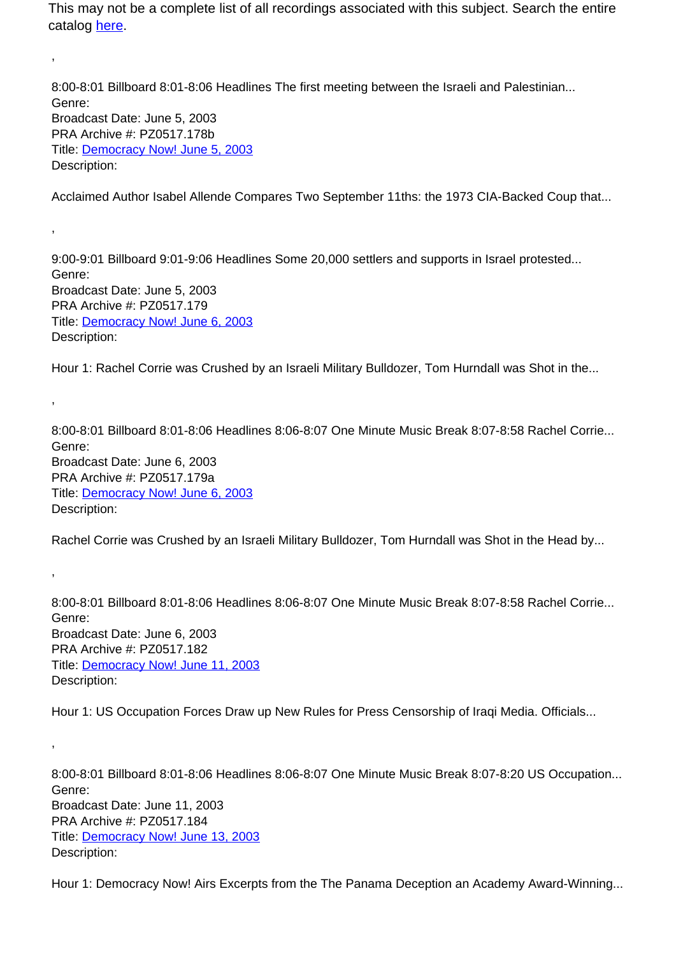8:00-8:01 Billboard 8:01-8:06 Headlines The first meeting between the Israeli and Palestinian... Genre: Broadcast Date: June 5, 2003 PRA Archive #: PZ0517.178b Title: Democracy Now! June 5, 2003 Description:

,

,

,

,

,

Acclaimed Author Isabel Allende Compares Two September 11ths: the 1973 CIA-Backed Coup that...

9:00-9:01 Billboard 9:01-9:06 Headlines Some 20,000 settlers and supports in Israel protested... Genre: Broadcast Date: June 5, 2003 PRA Archive #: PZ0517.179 Title: Democracy Now! June 6, 2003 Description:

Hour 1: Rachel Corrie was Crushed by an Israeli Military Bulldozer, Tom Hurndall was Shot in the...

8:00-8:01 Billboard 8:01-8:06 Headlines 8:06-8:07 One Minute Music Break 8:07-8:58 Rachel Corrie... Genre: Broadcast Date: June 6, 2003 PRA Archive #: PZ0517.179a Title: Democracy Now! June 6, 2003 Description:

Rachel Corrie was Crushed by an Israeli Military Bulldozer, Tom Hurndall was Shot in the Head by...

8:00-8:01 Billboard 8:01-8:06 Headlines 8:06-8:07 One Minute Music Break 8:07-8:58 Rachel Corrie... Genre: Broadcast Date: June 6, 2003 PRA Archive #: PZ0517.182 Title: Democracy Now! June 11, 2003 Description:

Hour 1: US Occupation Forces Draw up New Rules for Press Censorship of Iraqi Media. Officials...

8:00-8:01 Billboard 8:01-8:06 Headlines 8:06-8:07 One Minute Music Break 8:07-8:20 US Occupation... Genre: Broadcast Date: June 11, 2003 PRA Archive #: PZ0517.184 Title: Democracy Now! June 13, 2003 Description:

Hour 1: Democracy Now! Airs Excerpts from the The Panama Deception an Academy Award-Winning...